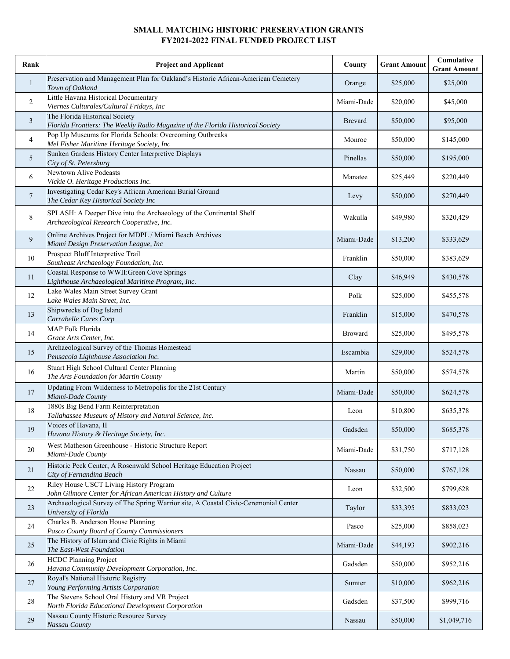## **SMALL MATCHING HISTORIC PRESERVATION GRANTS FY2021-2022 FINAL FUNDED PROJECT LIST**

| Rank           | <b>Project and Applicant</b>                                                                                     | County         | <b>Grant Amount</b> | Cumulative<br><b>Grant Amount</b> |
|----------------|------------------------------------------------------------------------------------------------------------------|----------------|---------------------|-----------------------------------|
| $\mathbf{1}$   | Preservation and Management Plan for Oakland's Historic African-American Cemetery<br>Town of Oakland             | Orange         | \$25,000            | \$25,000                          |
| 2              | Little Havana Historical Documentary<br>Viernes Culturales/Cultural Fridays, Inc                                 | Miami-Dade     | \$20,000            | \$45,000                          |
| 3              | The Florida Historical Society<br>Florida Frontiers: The Weekly Radio Magazine of the Florida Historical Society | Brevard        | \$50,000            | \$95,000                          |
| 4              | Pop Up Museums for Florida Schools: Overcoming Outbreaks<br>Mel Fisher Maritime Heritage Society, Inc            | Monroe         | \$50,000            | \$145,000                         |
| 5              | Sunken Gardens History Center Interpretive Displays<br>City of St. Petersburg                                    | Pinellas       | \$50,000            | \$195,000                         |
| 6              | Newtown Alive Podcasts<br>Vickie O. Heritage Productions Inc.                                                    | Manatee        | \$25,449            | \$220,449                         |
| 7              | Investigating Cedar Key's African American Burial Ground<br>The Cedar Key Historical Society Inc                 | Levy           | \$50,000            | \$270,449                         |
| 8              | SPLASH: A Deeper Dive into the Archaeology of the Continental Shelf<br>Archaeological Research Cooperative, Inc. | Wakulla        | \$49,980            | \$320,429                         |
| $\overline{9}$ | Online Archives Project for MDPL / Miami Beach Archives<br>Miami Design Preservation League, Inc                 | Miami-Dade     | \$13,200            | \$333,629                         |
| 10             | Prospect Bluff Interpretive Trail<br>Southeast Archaeology Foundation, Inc.                                      | Franklin       | \$50,000            | \$383,629                         |
| 11             | Coastal Response to WWII: Green Cove Springs<br>Lighthouse Archaeological Maritime Program, Inc.                 | Clay           | \$46,949            | \$430,578                         |
| 12             | Lake Wales Main Street Survey Grant<br>Lake Wales Main Street, Inc.                                              | Polk           | \$25,000            | \$455,578                         |
| 13             | Shipwrecks of Dog Island<br>Carrabelle Cares Corp                                                                | Franklin       | \$15,000            | \$470,578                         |
| 14             | MAP Folk Florida<br>Grace Arts Center, Inc.                                                                      | <b>Broward</b> | \$25,000            | \$495,578                         |
| 15             | Archaeological Survey of the Thomas Homestead<br>Pensacola Lighthouse Association Inc.                           | Escambia       | \$29,000            | \$524,578                         |
| 16             | Stuart High School Cultural Center Planning<br>The Arts Foundation for Martin County                             | Martin         | \$50,000            | \$574,578                         |
| 17             | Updating From Wilderness to Metropolis for the 21st Century<br>Miami-Dade County                                 | Miami-Dade     | \$50,000            | \$624,578                         |
| 18             | 1880s Big Bend Farm Reinterpretation<br>Tallahassee Museum of History and Natural Science, Inc.                  | Leon           | \$10,800            | \$635,378                         |
| 19             | Voices of Havana, II<br>Havana History & Heritage Society, Inc.                                                  | Gadsden        | \$50,000            | \$685,378                         |
| 20             | West Matheson Greenhouse - Historic Structure Report<br>Miami-Dade County                                        | Miami-Dade     | \$31,750            | \$717,128                         |
| 21             | Historic Peck Center, A Rosenwald School Heritage Education Project<br>City of Fernandina Beach                  | Nassau         | \$50,000            | \$767,128                         |
| 22             | Riley House USCT Living History Program<br>John Gilmore Center for African American History and Culture          | Leon           | \$32,500            | \$799,628                         |
| 23             | Archaeological Survey of The Spring Warrior site, A Coastal Civic-Ceremonial Center<br>University of Florida     | Taylor         | \$33,395            | \$833,023                         |
| 24             | Charles B. Anderson House Planning<br>Pasco County Board of County Commissioners                                 | Pasco          | \$25,000            | \$858,023                         |
| 25             | The History of Islam and Civic Rights in Miami<br>The East-West Foundation                                       | Miami-Dade     | \$44,193            | \$902,216                         |
| 26             | <b>HCDC Planning Project</b><br>Havana Community Development Corporation, Inc.                                   | Gadsden        | \$50,000            | \$952,216                         |
| 27             | Royal's National Historic Registry<br>Young Performing Artists Corporation                                       | Sumter         | \$10,000            | \$962,216                         |
| 28             | The Stevens School Oral History and VR Project<br>North Florida Educational Development Corporation              | Gadsden        | \$37,500            | \$999,716                         |
| 29             | Nassau County Historic Resource Survey<br>Nassau County                                                          | Nassau         | \$50,000            | \$1,049,716                       |